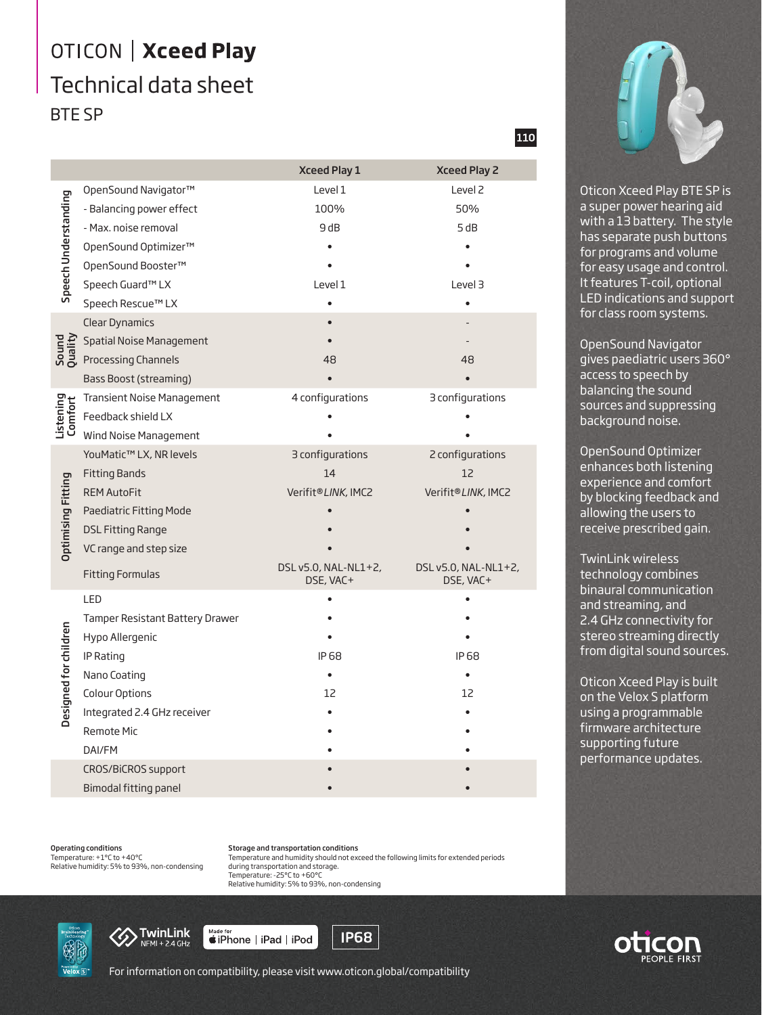## OTICON | Xceed Play Technical data sheet BTE SP

|                           |                                   | <b>Xceed Play 1</b>               | <b>Xceed Play 2</b>               |
|---------------------------|-----------------------------------|-----------------------------------|-----------------------------------|
| Speech Understanding      | OpenSound Navigator™              | Level 1                           | Level <sub>2</sub>                |
|                           | - Balancing power effect          | 100%                              | 50%                               |
|                           | - Max. noise removal              | 9 dB                              | 5 dB                              |
|                           | OpenSound Optimizer™              |                                   |                                   |
|                           | OpenSound Booster™                |                                   |                                   |
|                           | Speech Guard™ LX                  | Level 1                           | Level 3                           |
|                           | Speech Rescue™ LX                 |                                   |                                   |
| Sound<br>Quality          | <b>Clear Dynamics</b>             |                                   |                                   |
|                           | <b>Spatial Noise Management</b>   |                                   |                                   |
|                           | Processing Channels               | 48                                | 48                                |
|                           | Bass Boost (streaming)            |                                   |                                   |
| Listening<br>Comfort      | <b>Transient Noise Management</b> | 4 configurations                  | 3 configurations                  |
|                           | Feedback shield LX                |                                   |                                   |
|                           | Wind Noise Management             |                                   |                                   |
| <b>Optimising Fitting</b> | YouMatic™ LX, NR levels           | 3 configurations                  | 2 configurations                  |
|                           | <b>Fitting Bands</b>              | 14                                | 12                                |
|                           | <b>REM AutoFit</b>                | Verifit®LINK, IMC2                | Verifit®LINK, IMC2                |
|                           | Paediatric Fitting Mode           |                                   |                                   |
|                           | <b>DSL Fitting Range</b>          |                                   |                                   |
|                           | VC range and step size            |                                   |                                   |
|                           | <b>Fitting Formulas</b>           | DSL v5.0, NAL-NL1+2,<br>DSE, VAC+ | DSL v5.0, NAL-NL1+2,<br>DSE, VAC+ |
| Designed for children     | LED                               |                                   |                                   |
|                           | Tamper Resistant Battery Drawer   |                                   |                                   |
|                           | Hypo Allergenic                   |                                   |                                   |
|                           | IP Rating                         | IP 68                             | IP 68                             |
|                           | Nano Coating                      |                                   |                                   |
|                           | Colour Options                    | 12                                | 12                                |
|                           | Integrated 2.4 GHz receiver       |                                   |                                   |
|                           | <b>Remote Mic</b>                 |                                   |                                   |
|                           | DAI/FM                            |                                   |                                   |
|                           | CROS/BiCROS support               |                                   |                                   |
|                           | Bimodal fitting panel             |                                   |                                   |

Operating conditions Temperature: +1°C to +40°C

Relative humidity: 5% to 93%, non-condensing

Storage and transportation conditions Temperature and humidity should not exceed the following limits for extended periods during transportation and storage. Temperature: -25°C to +60°C Relative humidity: 5% to 93%, non-condensing

**IP68** 





For information on compatibility, please visit www.oticon.global/compatibility

Made for<br>■iPhone | iPad | iPod

110



Oticon Xceed Play BTE SP is a super power hearing aid with a 13 battery. The style has separate push buttons for programs and volume for easy usage and control. It features T-coil, optional LED indications and support for class room systems.

OpenSound Navigator gives paediatric users 360° access to speech by balancing the sound sources and suppressing background noise.

OpenSound Optimizer enhances both listening experience and comfort by blocking feedback and allowing the users to receive prescribed gain.

TwinLink wireless technology combines binaural communication and streaming, and 2.4 GHz connectivity for stereo streaming directly from digital sound sources.

Oticon Xceed Play is built on the Velox S platform using a programmable firmware architecture supporting future performance updates.